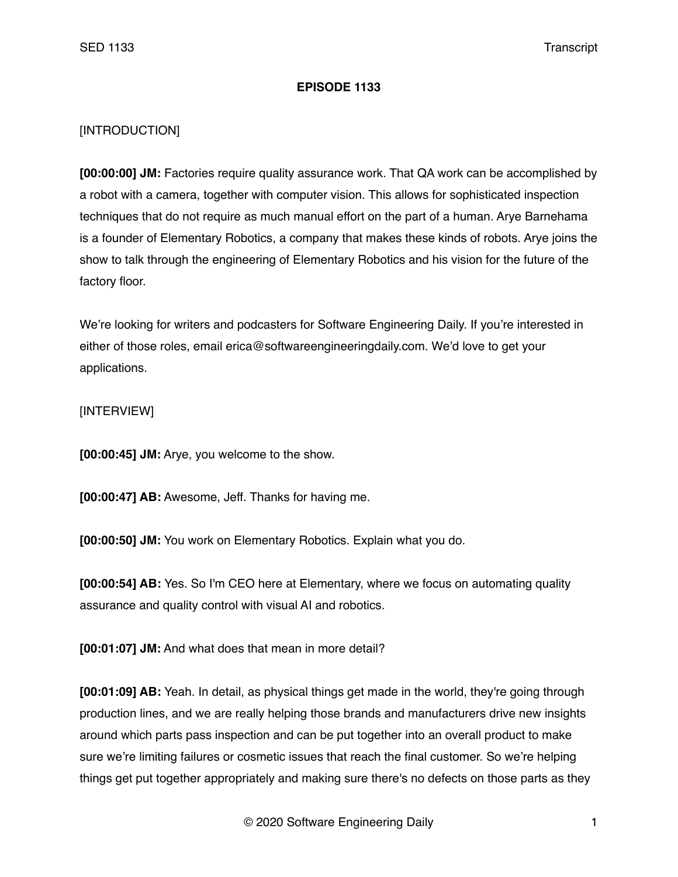## **EPISODE 1133**

## [INTRODUCTION]

**[00:00:00] JM:** Factories require quality assurance work. That QA work can be accomplished by a robot with a camera, together with computer vision. This allows for sophisticated inspection techniques that do not require as much manual effort on the part of a human. Arye Barnehama is a founder of Elementary Robotics, a company that makes these kinds of robots. Arye joins the show to talk through the engineering of Elementary Robotics and his vision for the future of the factory floor.

We're looking for writers and podcasters for Software Engineering Daily. If you're interested in either of those roles, email erica@softwareengineeringdaily.com. We'd love to get your applications.

## [INTERVIEW]

**[00:00:45] JM:** Arye, you welcome to the show.

**[00:00:47] AB:** Awesome, Jeff. Thanks for having me.

**[00:00:50] JM:** You work on Elementary Robotics. Explain what you do.

**[00:00:54] AB:** Yes. So I'm CEO here at Elementary, where we focus on automating quality assurance and quality control with visual AI and robotics.

**[00:01:07] JM:** And what does that mean in more detail?

**[00:01:09] AB:** Yeah. In detail, as physical things get made in the world, they're going through production lines, and we are really helping those brands and manufacturers drive new insights around which parts pass inspection and can be put together into an overall product to make sure we're limiting failures or cosmetic issues that reach the final customer. So we're helping things get put together appropriately and making sure there's no defects on those parts as they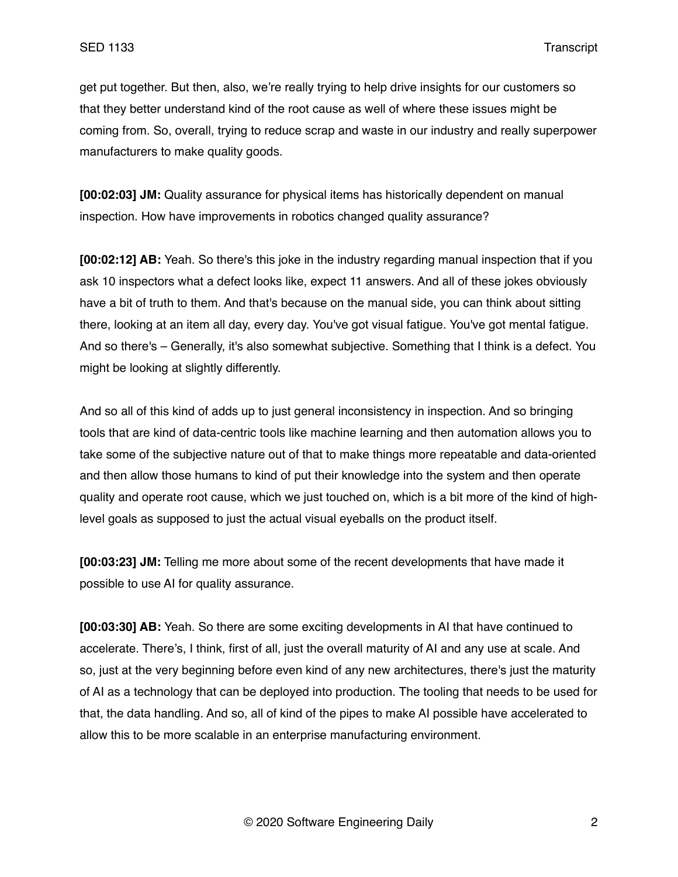get put together. But then, also, we're really trying to help drive insights for our customers so that they better understand kind of the root cause as well of where these issues might be coming from. So, overall, trying to reduce scrap and waste in our industry and really superpower manufacturers to make quality goods.

**[00:02:03] JM:** Quality assurance for physical items has historically dependent on manual inspection. How have improvements in robotics changed quality assurance?

**[00:02:12] AB:** Yeah. So there's this joke in the industry regarding manual inspection that if you ask 10 inspectors what a defect looks like, expect 11 answers. And all of these jokes obviously have a bit of truth to them. And that's because on the manual side, you can think about sitting there, looking at an item all day, every day. You've got visual fatigue. You've got mental fatigue. And so there's – Generally, it's also somewhat subjective. Something that I think is a defect. You might be looking at slightly differently.

And so all of this kind of adds up to just general inconsistency in inspection. And so bringing tools that are kind of data-centric tools like machine learning and then automation allows you to take some of the subjective nature out of that to make things more repeatable and data-oriented and then allow those humans to kind of put their knowledge into the system and then operate quality and operate root cause, which we just touched on, which is a bit more of the kind of highlevel goals as supposed to just the actual visual eyeballs on the product itself.

**[00:03:23] JM:** Telling me more about some of the recent developments that have made it possible to use AI for quality assurance.

**[00:03:30] AB:** Yeah. So there are some exciting developments in AI that have continued to accelerate. There's, I think, first of all, just the overall maturity of AI and any use at scale. And so, just at the very beginning before even kind of any new architectures, there's just the maturity of AI as a technology that can be deployed into production. The tooling that needs to be used for that, the data handling. And so, all of kind of the pipes to make AI possible have accelerated to allow this to be more scalable in an enterprise manufacturing environment.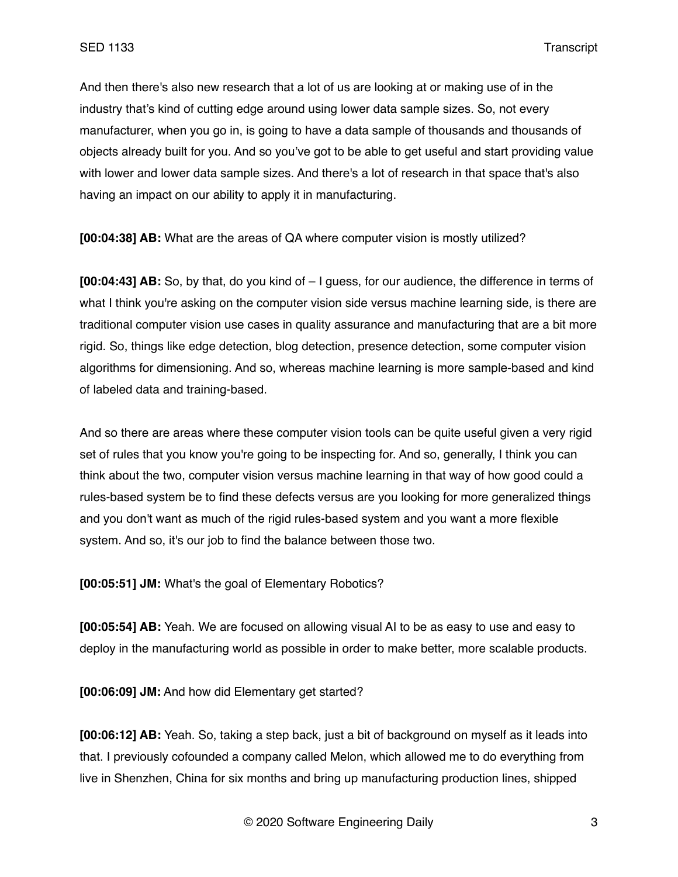And then there's also new research that a lot of us are looking at or making use of in the industry that's kind of cutting edge around using lower data sample sizes. So, not every manufacturer, when you go in, is going to have a data sample of thousands and thousands of objects already built for you. And so you've got to be able to get useful and start providing value with lower and lower data sample sizes. And there's a lot of research in that space that's also having an impact on our ability to apply it in manufacturing.

**[00:04:38] AB:** What are the areas of QA where computer vision is mostly utilized?

**[00:04:43] AB:** So, by that, do you kind of – I guess, for our audience, the difference in terms of what I think you're asking on the computer vision side versus machine learning side, is there are traditional computer vision use cases in quality assurance and manufacturing that are a bit more rigid. So, things like edge detection, blog detection, presence detection, some computer vision algorithms for dimensioning. And so, whereas machine learning is more sample-based and kind of labeled data and training-based.

And so there are areas where these computer vision tools can be quite useful given a very rigid set of rules that you know you're going to be inspecting for. And so, generally, I think you can think about the two, computer vision versus machine learning in that way of how good could a rules-based system be to find these defects versus are you looking for more generalized things and you don't want as much of the rigid rules-based system and you want a more flexible system. And so, it's our job to find the balance between those two.

**[00:05:51] JM:** What's the goal of Elementary Robotics?

**[00:05:54] AB:** Yeah. We are focused on allowing visual AI to be as easy to use and easy to deploy in the manufacturing world as possible in order to make better, more scalable products.

**[00:06:09] JM:** And how did Elementary get started?

**[00:06:12] AB:** Yeah. So, taking a step back, just a bit of background on myself as it leads into that. I previously cofounded a company called Melon, which allowed me to do everything from live in Shenzhen, China for six months and bring up manufacturing production lines, shipped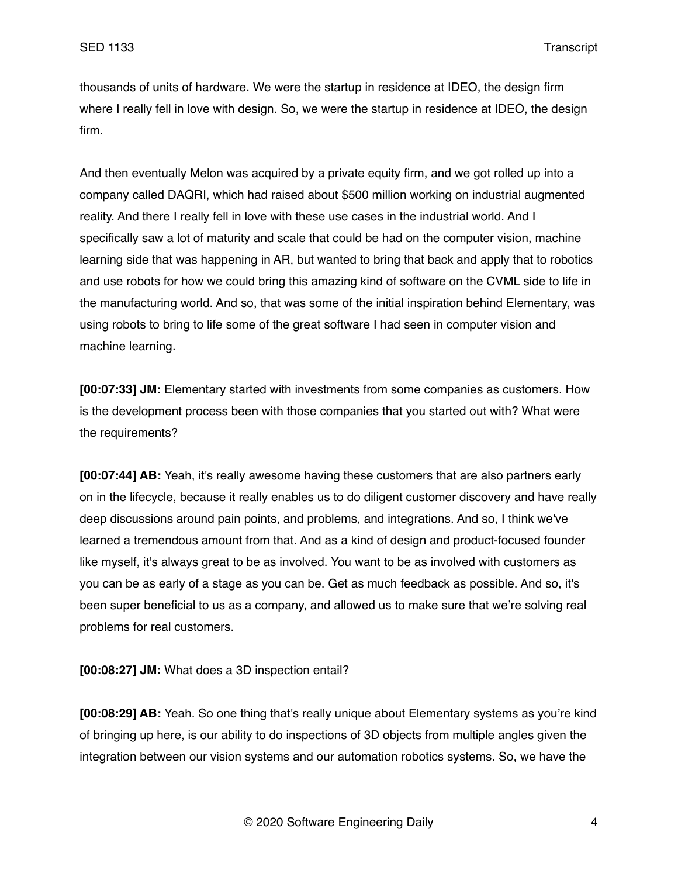thousands of units of hardware. We were the startup in residence at IDEO, the design firm where I really fell in love with design. So, we were the startup in residence at IDEO, the design firm.

And then eventually Melon was acquired by a private equity firm, and we got rolled up into a company called DAQRI, which had raised about \$500 million working on industrial augmented reality. And there I really fell in love with these use cases in the industrial world. And I specifically saw a lot of maturity and scale that could be had on the computer vision, machine learning side that was happening in AR, but wanted to bring that back and apply that to robotics and use robots for how we could bring this amazing kind of software on the CVML side to life in the manufacturing world. And so, that was some of the initial inspiration behind Elementary, was using robots to bring to life some of the great software I had seen in computer vision and machine learning.

**[00:07:33] JM:** Elementary started with investments from some companies as customers. How is the development process been with those companies that you started out with? What were the requirements?

**[00:07:44] AB:** Yeah, it's really awesome having these customers that are also partners early on in the lifecycle, because it really enables us to do diligent customer discovery and have really deep discussions around pain points, and problems, and integrations. And so, I think we've learned a tremendous amount from that. And as a kind of design and product-focused founder like myself, it's always great to be as involved. You want to be as involved with customers as you can be as early of a stage as you can be. Get as much feedback as possible. And so, it's been super beneficial to us as a company, and allowed us to make sure that we're solving real problems for real customers.

**[00:08:27] JM:** What does a 3D inspection entail?

**[00:08:29] AB:** Yeah. So one thing that's really unique about Elementary systems as you're kind of bringing up here, is our ability to do inspections of 3D objects from multiple angles given the integration between our vision systems and our automation robotics systems. So, we have the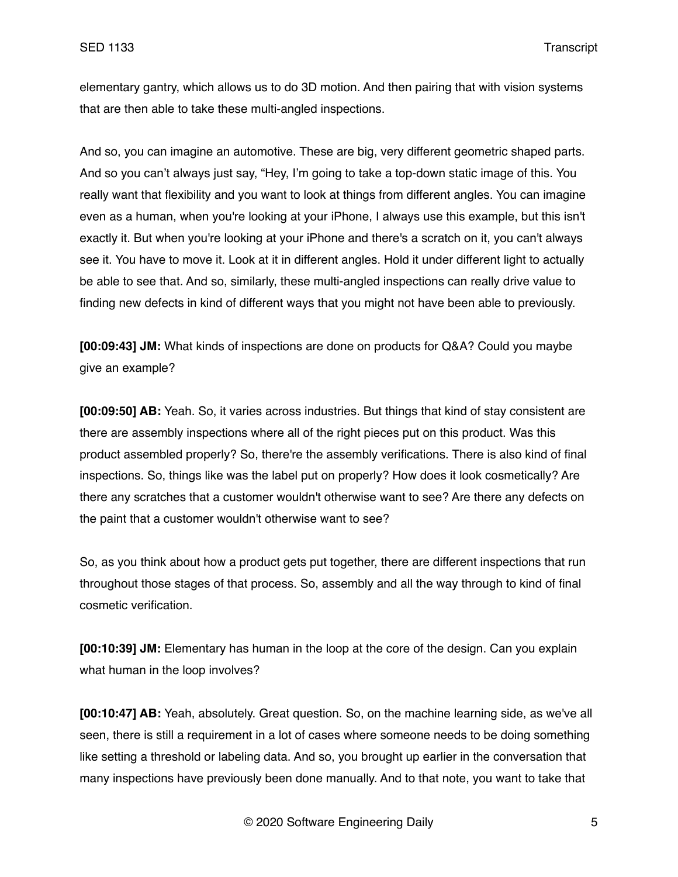elementary gantry, which allows us to do 3D motion. And then pairing that with vision systems that are then able to take these multi-angled inspections.

And so, you can imagine an automotive. These are big, very different geometric shaped parts. And so you can't always just say, "Hey, I'm going to take a top-down static image of this. You really want that flexibility and you want to look at things from different angles. You can imagine even as a human, when you're looking at your iPhone, I always use this example, but this isn't exactly it. But when you're looking at your iPhone and there's a scratch on it, you can't always see it. You have to move it. Look at it in different angles. Hold it under different light to actually be able to see that. And so, similarly, these multi-angled inspections can really drive value to finding new defects in kind of different ways that you might not have been able to previously.

**[00:09:43] JM:** What kinds of inspections are done on products for Q&A? Could you maybe give an example?

**[00:09:50] AB:** Yeah. So, it varies across industries. But things that kind of stay consistent are there are assembly inspections where all of the right pieces put on this product. Was this product assembled properly? So, there're the assembly verifications. There is also kind of final inspections. So, things like was the label put on properly? How does it look cosmetically? Are there any scratches that a customer wouldn't otherwise want to see? Are there any defects on the paint that a customer wouldn't otherwise want to see?

So, as you think about how a product gets put together, there are different inspections that run throughout those stages of that process. So, assembly and all the way through to kind of final cosmetic verification.

**[00:10:39] JM:** Elementary has human in the loop at the core of the design. Can you explain what human in the loop involves?

**[00:10:47] AB:** Yeah, absolutely. Great question. So, on the machine learning side, as we've all seen, there is still a requirement in a lot of cases where someone needs to be doing something like setting a threshold or labeling data. And so, you brought up earlier in the conversation that many inspections have previously been done manually. And to that note, you want to take that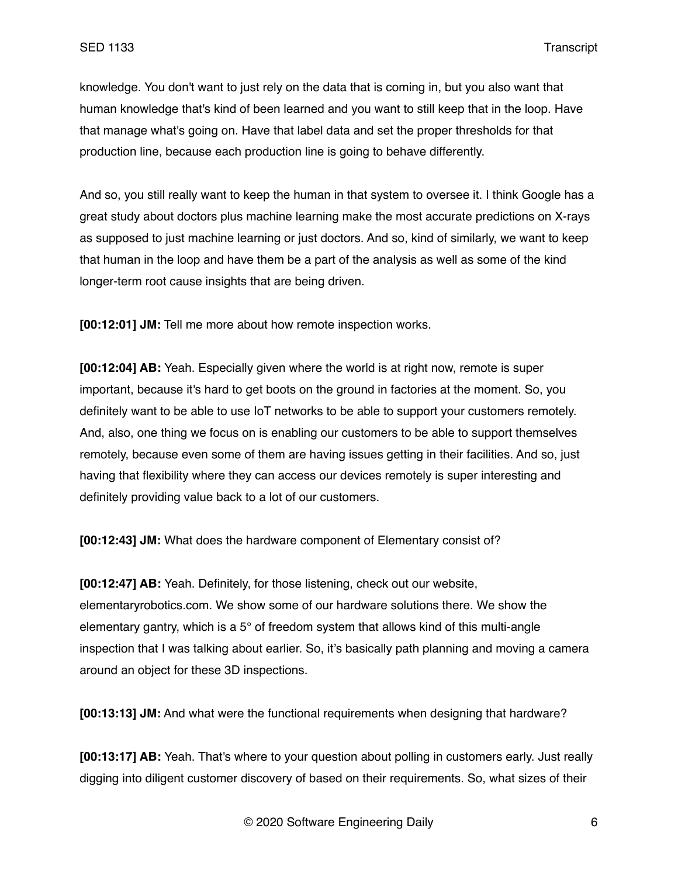knowledge. You don't want to just rely on the data that is coming in, but you also want that human knowledge that's kind of been learned and you want to still keep that in the loop. Have that manage what's going on. Have that label data and set the proper thresholds for that production line, because each production line is going to behave differently.

And so, you still really want to keep the human in that system to oversee it. I think Google has a great study about doctors plus machine learning make the most accurate predictions on X-rays as supposed to just machine learning or just doctors. And so, kind of similarly, we want to keep that human in the loop and have them be a part of the analysis as well as some of the kind longer-term root cause insights that are being driven.

**[00:12:01] JM:** Tell me more about how remote inspection works.

**[00:12:04] AB:** Yeah. Especially given where the world is at right now, remote is super important, because it's hard to get boots on the ground in factories at the moment. So, you definitely want to be able to use IoT networks to be able to support your customers remotely. And, also, one thing we focus on is enabling our customers to be able to support themselves remotely, because even some of them are having issues getting in their facilities. And so, just having that flexibility where they can access our devices remotely is super interesting and definitely providing value back to a lot of our customers.

**[00:12:43] JM:** What does the hardware component of Elementary consist of?

**[00:12:47] AB:** Yeah. Definitely, for those listening, check out our website, elementaryrobotics.com. We show some of our hardware solutions there. We show the elementary gantry, which is a 5° of freedom system that allows kind of this multi-angle inspection that I was talking about earlier. So, it's basically path planning and moving a camera around an object for these 3D inspections.

**[00:13:13] JM:** And what were the functional requirements when designing that hardware?

**[00:13:17] AB:** Yeah. That's where to your question about polling in customers early. Just really digging into diligent customer discovery of based on their requirements. So, what sizes of their

© 2020 Software Engineering Daily 6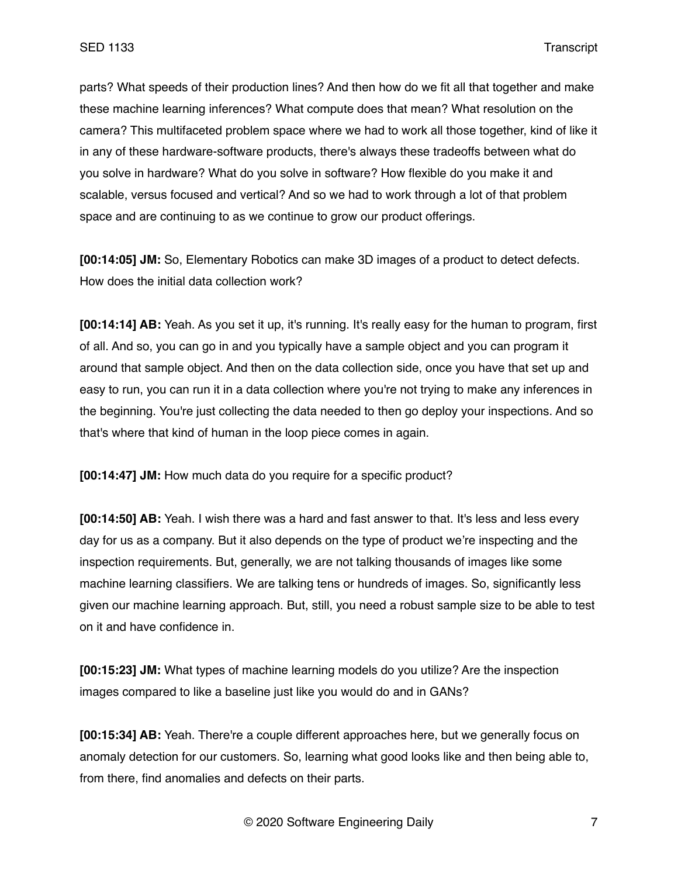parts? What speeds of their production lines? And then how do we fit all that together and make these machine learning inferences? What compute does that mean? What resolution on the camera? This multifaceted problem space where we had to work all those together, kind of like it in any of these hardware-software products, there's always these tradeoffs between what do you solve in hardware? What do you solve in software? How flexible do you make it and scalable, versus focused and vertical? And so we had to work through a lot of that problem space and are continuing to as we continue to grow our product offerings.

**[00:14:05] JM:** So, Elementary Robotics can make 3D images of a product to detect defects. How does the initial data collection work?

**[00:14:14] AB:** Yeah. As you set it up, it's running. It's really easy for the human to program, first of all. And so, you can go in and you typically have a sample object and you can program it around that sample object. And then on the data collection side, once you have that set up and easy to run, you can run it in a data collection where you're not trying to make any inferences in the beginning. You're just collecting the data needed to then go deploy your inspections. And so that's where that kind of human in the loop piece comes in again.

**[00:14:47] JM:** How much data do you require for a specific product?

**[00:14:50] AB:** Yeah. I wish there was a hard and fast answer to that. It's less and less every day for us as a company. But it also depends on the type of product we're inspecting and the inspection requirements. But, generally, we are not talking thousands of images like some machine learning classifiers. We are talking tens or hundreds of images. So, significantly less given our machine learning approach. But, still, you need a robust sample size to be able to test on it and have confidence in.

**[00:15:23] JM:** What types of machine learning models do you utilize? Are the inspection images compared to like a baseline just like you would do and in GANs?

**[00:15:34] AB:** Yeah. There're a couple different approaches here, but we generally focus on anomaly detection for our customers. So, learning what good looks like and then being able to, from there, find anomalies and defects on their parts.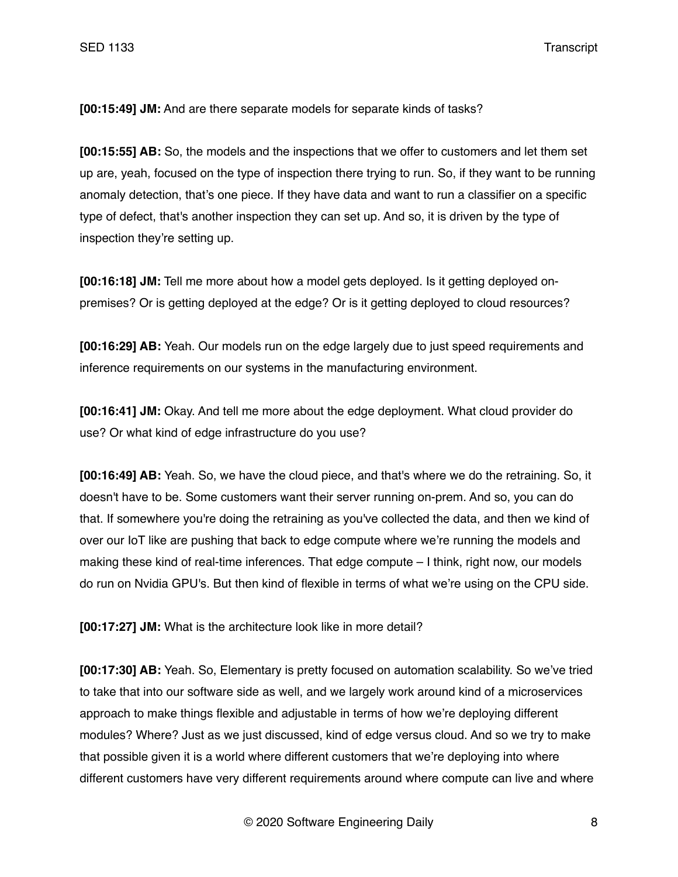**[00:15:49] JM:** And are there separate models for separate kinds of tasks?

**[00:15:55] AB:** So, the models and the inspections that we offer to customers and let them set up are, yeah, focused on the type of inspection there trying to run. So, if they want to be running anomaly detection, that's one piece. If they have data and want to run a classifier on a specific type of defect, that's another inspection they can set up. And so, it is driven by the type of inspection they're setting up.

**[00:16:18] JM:** Tell me more about how a model gets deployed. Is it getting deployed onpremises? Or is getting deployed at the edge? Or is it getting deployed to cloud resources?

**[00:16:29] AB:** Yeah. Our models run on the edge largely due to just speed requirements and inference requirements on our systems in the manufacturing environment.

**[00:16:41] JM:** Okay. And tell me more about the edge deployment. What cloud provider do use? Or what kind of edge infrastructure do you use?

**[00:16:49] AB:** Yeah. So, we have the cloud piece, and that's where we do the retraining. So, it doesn't have to be. Some customers want their server running on-prem. And so, you can do that. If somewhere you're doing the retraining as you've collected the data, and then we kind of over our IoT like are pushing that back to edge compute where we're running the models and making these kind of real-time inferences. That edge compute – I think, right now, our models do run on Nvidia GPU's. But then kind of flexible in terms of what we're using on the CPU side.

**[00:17:27] JM:** What is the architecture look like in more detail?

**[00:17:30] AB:** Yeah. So, Elementary is pretty focused on automation scalability. So we've tried to take that into our software side as well, and we largely work around kind of a microservices approach to make things flexible and adjustable in terms of how we're deploying different modules? Where? Just as we just discussed, kind of edge versus cloud. And so we try to make that possible given it is a world where different customers that we're deploying into where different customers have very different requirements around where compute can live and where

© 2020 Software Engineering Daily 8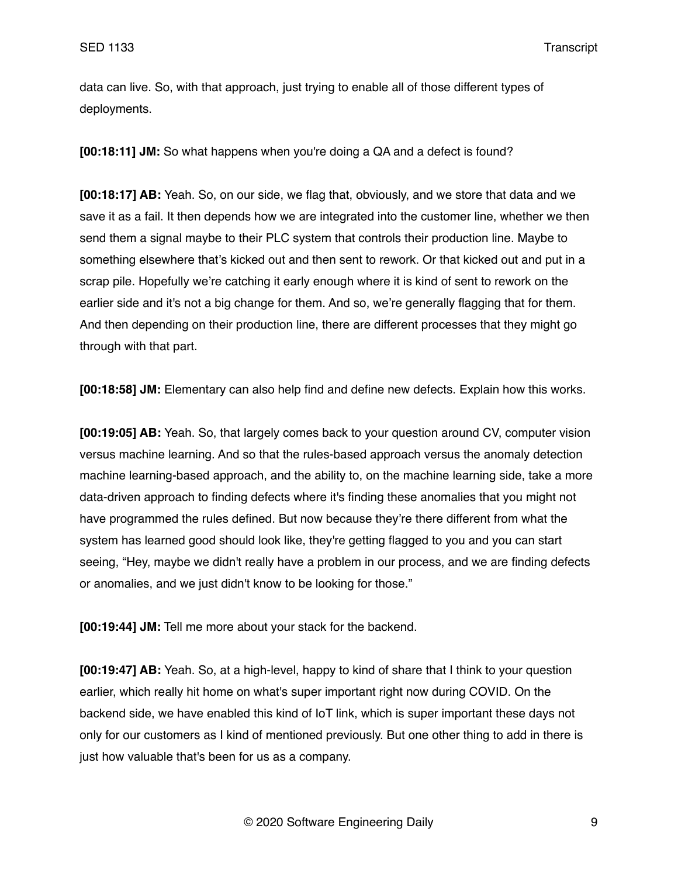data can live. So, with that approach, just trying to enable all of those different types of deployments.

**[00:18:11] JM:** So what happens when you're doing a QA and a defect is found?

**[00:18:17] AB:** Yeah. So, on our side, we flag that, obviously, and we store that data and we save it as a fail. It then depends how we are integrated into the customer line, whether we then send them a signal maybe to their PLC system that controls their production line. Maybe to something elsewhere that's kicked out and then sent to rework. Or that kicked out and put in a scrap pile. Hopefully we're catching it early enough where it is kind of sent to rework on the earlier side and it's not a big change for them. And so, we're generally flagging that for them. And then depending on their production line, there are different processes that they might go through with that part.

**[00:18:58] JM:** Elementary can also help find and define new defects. Explain how this works.

**[00:19:05] AB:** Yeah. So, that largely comes back to your question around CV, computer vision versus machine learning. And so that the rules-based approach versus the anomaly detection machine learning-based approach, and the ability to, on the machine learning side, take a more data-driven approach to finding defects where it's finding these anomalies that you might not have programmed the rules defined. But now because they're there different from what the system has learned good should look like, they're getting flagged to you and you can start seeing, "Hey, maybe we didn't really have a problem in our process, and we are finding defects or anomalies, and we just didn't know to be looking for those."

**[00:19:44] JM:** Tell me more about your stack for the backend.

**[00:19:47] AB:** Yeah. So, at a high-level, happy to kind of share that I think to your question earlier, which really hit home on what's super important right now during COVID. On the backend side, we have enabled this kind of IoT link, which is super important these days not only for our customers as I kind of mentioned previously. But one other thing to add in there is just how valuable that's been for us as a company.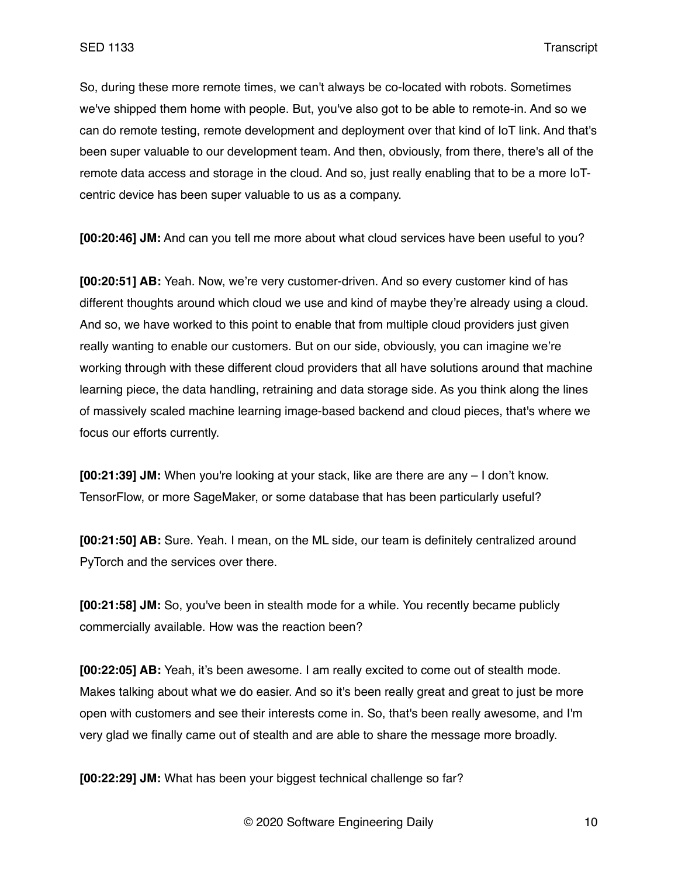So, during these more remote times, we can't always be co-located with robots. Sometimes we've shipped them home with people. But, you've also got to be able to remote-in. And so we can do remote testing, remote development and deployment over that kind of IoT link. And that's been super valuable to our development team. And then, obviously, from there, there's all of the remote data access and storage in the cloud. And so, just really enabling that to be a more IoTcentric device has been super valuable to us as a company.

**[00:20:46] JM:** And can you tell me more about what cloud services have been useful to you?

**[00:20:51] AB:** Yeah. Now, we're very customer-driven. And so every customer kind of has different thoughts around which cloud we use and kind of maybe they're already using a cloud. And so, we have worked to this point to enable that from multiple cloud providers just given really wanting to enable our customers. But on our side, obviously, you can imagine we're working through with these different cloud providers that all have solutions around that machine learning piece, the data handling, retraining and data storage side. As you think along the lines of massively scaled machine learning image-based backend and cloud pieces, that's where we focus our efforts currently.

**[00:21:39] JM:** When you're looking at your stack, like are there are any – I don't know. TensorFlow, or more SageMaker, or some database that has been particularly useful?

**[00:21:50] AB:** Sure. Yeah. I mean, on the ML side, our team is definitely centralized around PyTorch and the services over there.

**[00:21:58] JM:** So, you've been in stealth mode for a while. You recently became publicly commercially available. How was the reaction been?

**[00:22:05] AB:** Yeah, it's been awesome. I am really excited to come out of stealth mode. Makes talking about what we do easier. And so it's been really great and great to just be more open with customers and see their interests come in. So, that's been really awesome, and I'm very glad we finally came out of stealth and are able to share the message more broadly.

**[00:22:29] JM:** What has been your biggest technical challenge so far?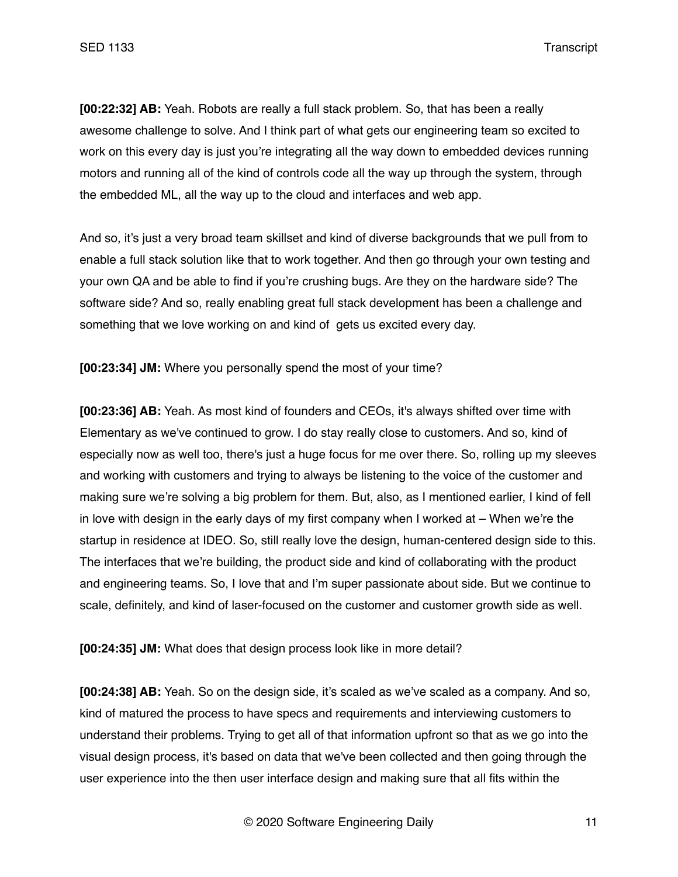**[00:22:32] AB:** Yeah. Robots are really a full stack problem. So, that has been a really awesome challenge to solve. And I think part of what gets our engineering team so excited to work on this every day is just you're integrating all the way down to embedded devices running motors and running all of the kind of controls code all the way up through the system, through the embedded ML, all the way up to the cloud and interfaces and web app.

And so, it's just a very broad team skillset and kind of diverse backgrounds that we pull from to enable a full stack solution like that to work together. And then go through your own testing and your own QA and be able to find if you're crushing bugs. Are they on the hardware side? The software side? And so, really enabling great full stack development has been a challenge and something that we love working on and kind of gets us excited every day.

**[00:23:34] JM:** Where you personally spend the most of your time?

**[00:23:36] AB:** Yeah. As most kind of founders and CEOs, it's always shifted over time with Elementary as we've continued to grow. I do stay really close to customers. And so, kind of especially now as well too, there's just a huge focus for me over there. So, rolling up my sleeves and working with customers and trying to always be listening to the voice of the customer and making sure we're solving a big problem for them. But, also, as I mentioned earlier, I kind of fell in love with design in the early days of my first company when I worked at – When we're the startup in residence at IDEO. So, still really love the design, human-centered design side to this. The interfaces that we're building, the product side and kind of collaborating with the product and engineering teams. So, I love that and I'm super passionate about side. But we continue to scale, definitely, and kind of laser-focused on the customer and customer growth side as well.

**[00:24:35] JM:** What does that design process look like in more detail?

**[00:24:38] AB:** Yeah. So on the design side, it's scaled as we've scaled as a company. And so, kind of matured the process to have specs and requirements and interviewing customers to understand their problems. Trying to get all of that information upfront so that as we go into the visual design process, it's based on data that we've been collected and then going through the user experience into the then user interface design and making sure that all fits within the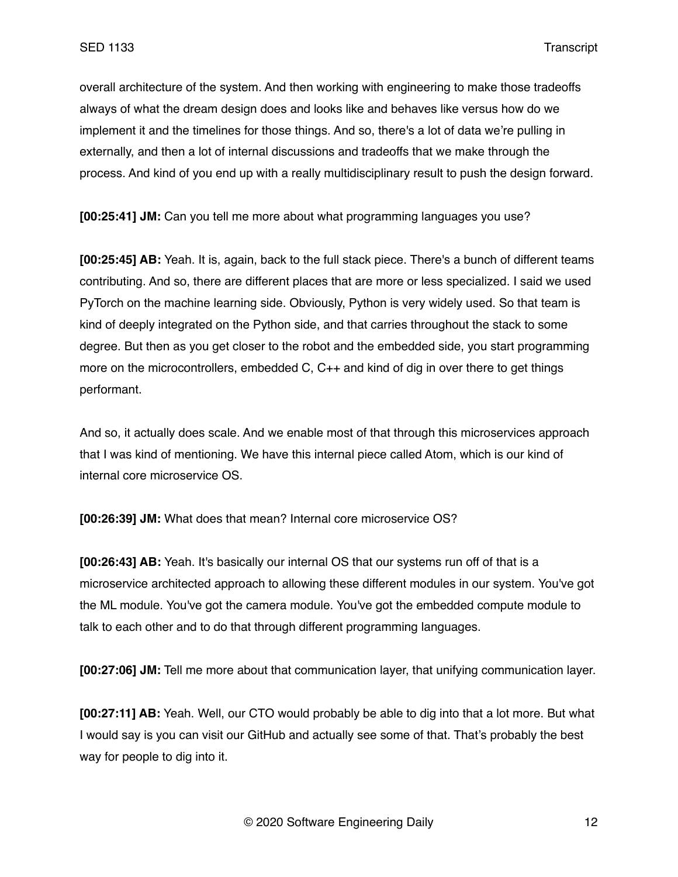overall architecture of the system. And then working with engineering to make those tradeoffs always of what the dream design does and looks like and behaves like versus how do we implement it and the timelines for those things. And so, there's a lot of data we're pulling in externally, and then a lot of internal discussions and tradeoffs that we make through the process. And kind of you end up with a really multidisciplinary result to push the design forward.

**[00:25:41] JM:** Can you tell me more about what programming languages you use?

**[00:25:45] AB:** Yeah. It is, again, back to the full stack piece. There's a bunch of different teams contributing. And so, there are different places that are more or less specialized. I said we used PyTorch on the machine learning side. Obviously, Python is very widely used. So that team is kind of deeply integrated on the Python side, and that carries throughout the stack to some degree. But then as you get closer to the robot and the embedded side, you start programming more on the microcontrollers, embedded C, C++ and kind of dig in over there to get things performant.

And so, it actually does scale. And we enable most of that through this microservices approach that I was kind of mentioning. We have this internal piece called Atom, which is our kind of internal core microservice OS.

**[00:26:39] JM:** What does that mean? Internal core microservice OS?

**[00:26:43] AB:** Yeah. It's basically our internal OS that our systems run off of that is a microservice architected approach to allowing these different modules in our system. You've got the ML module. You've got the camera module. You've got the embedded compute module to talk to each other and to do that through different programming languages.

**[00:27:06] JM:** Tell me more about that communication layer, that unifying communication layer.

**[00:27:11] AB:** Yeah. Well, our CTO would probably be able to dig into that a lot more. But what I would say is you can visit our GitHub and actually see some of that. That's probably the best way for people to dig into it.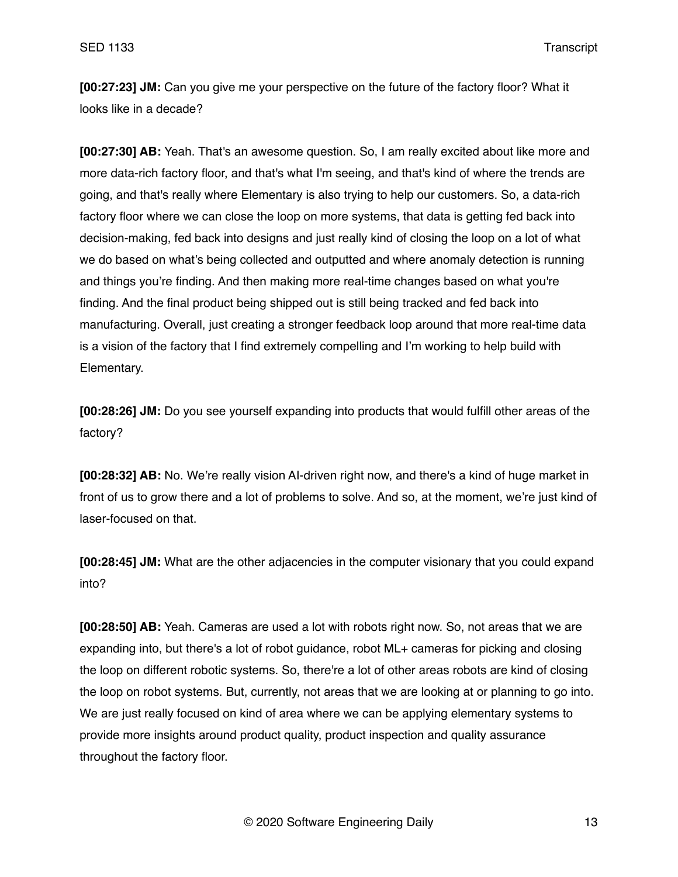**[00:27:23] JM:** Can you give me your perspective on the future of the factory floor? What it looks like in a decade?

**[00:27:30] AB:** Yeah. That's an awesome question. So, I am really excited about like more and more data-rich factory floor, and that's what I'm seeing, and that's kind of where the trends are going, and that's really where Elementary is also trying to help our customers. So, a data-rich factory floor where we can close the loop on more systems, that data is getting fed back into decision-making, fed back into designs and just really kind of closing the loop on a lot of what we do based on what's being collected and outputted and where anomaly detection is running and things you're finding. And then making more real-time changes based on what you're finding. And the final product being shipped out is still being tracked and fed back into manufacturing. Overall, just creating a stronger feedback loop around that more real-time data is a vision of the factory that I find extremely compelling and I'm working to help build with Elementary.

**[00:28:26] JM:** Do you see yourself expanding into products that would fulfill other areas of the factory?

**[00:28:32] AB:** No. We're really vision AI-driven right now, and there's a kind of huge market in front of us to grow there and a lot of problems to solve. And so, at the moment, we're just kind of laser-focused on that.

**[00:28:45] JM:** What are the other adjacencies in the computer visionary that you could expand into?

**[00:28:50] AB:** Yeah. Cameras are used a lot with robots right now. So, not areas that we are expanding into, but there's a lot of robot guidance, robot ML+ cameras for picking and closing the loop on different robotic systems. So, there're a lot of other areas robots are kind of closing the loop on robot systems. But, currently, not areas that we are looking at or planning to go into. We are just really focused on kind of area where we can be applying elementary systems to provide more insights around product quality, product inspection and quality assurance throughout the factory floor.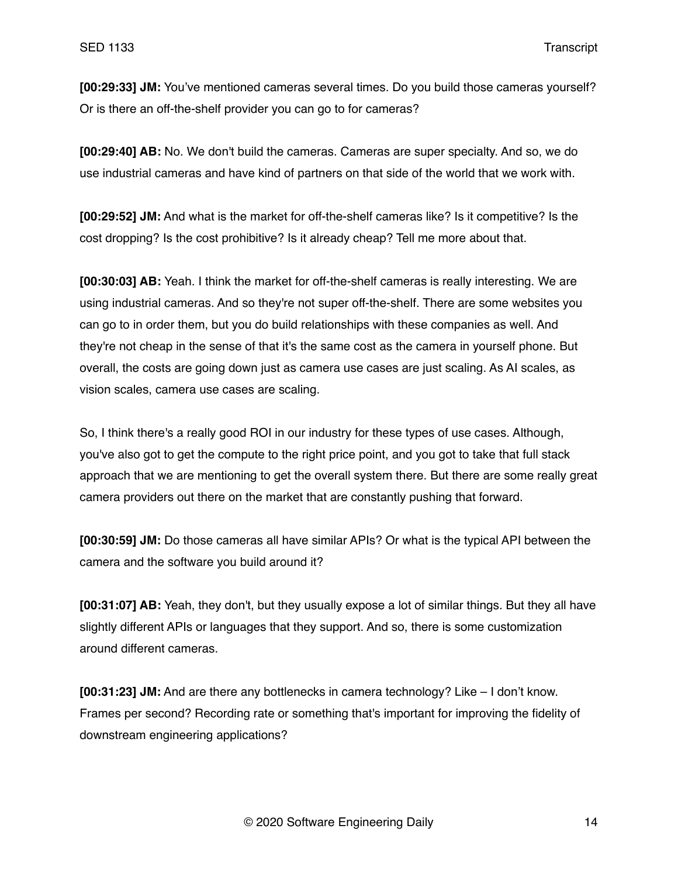**[00:29:33] JM:** You've mentioned cameras several times. Do you build those cameras yourself? Or is there an off-the-shelf provider you can go to for cameras?

**[00:29:40] AB:** No. We don't build the cameras. Cameras are super specialty. And so, we do use industrial cameras and have kind of partners on that side of the world that we work with.

**[00:29:52] JM:** And what is the market for off-the-shelf cameras like? Is it competitive? Is the cost dropping? Is the cost prohibitive? Is it already cheap? Tell me more about that.

**[00:30:03] AB:** Yeah. I think the market for off-the-shelf cameras is really interesting. We are using industrial cameras. And so they're not super off-the-shelf. There are some websites you can go to in order them, but you do build relationships with these companies as well. And they're not cheap in the sense of that it's the same cost as the camera in yourself phone. But overall, the costs are going down just as camera use cases are just scaling. As AI scales, as vision scales, camera use cases are scaling.

So, I think there's a really good ROI in our industry for these types of use cases. Although, you've also got to get the compute to the right price point, and you got to take that full stack approach that we are mentioning to get the overall system there. But there are some really great camera providers out there on the market that are constantly pushing that forward.

**[00:30:59] JM:** Do those cameras all have similar APIs? Or what is the typical API between the camera and the software you build around it?

**[00:31:07] AB:** Yeah, they don't, but they usually expose a lot of similar things. But they all have slightly different APIs or languages that they support. And so, there is some customization around different cameras.

**[00:31:23] JM:** And are there any bottlenecks in camera technology? Like – I don't know. Frames per second? Recording rate or something that's important for improving the fidelity of downstream engineering applications?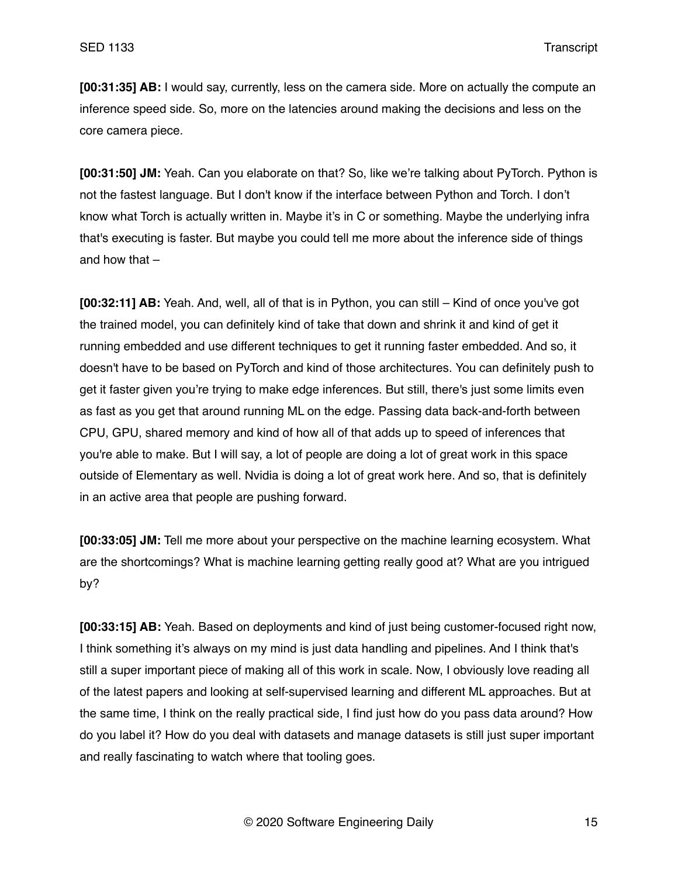**[00:31:35] AB:** I would say, currently, less on the camera side. More on actually the compute an inference speed side. So, more on the latencies around making the decisions and less on the core camera piece.

**[00:31:50] JM:** Yeah. Can you elaborate on that? So, like we're talking about PyTorch. Python is not the fastest language. But I don't know if the interface between Python and Torch. I don't know what Torch is actually written in. Maybe it's in C or something. Maybe the underlying infra that's executing is faster. But maybe you could tell me more about the inference side of things and how that –

**[00:32:11] AB:** Yeah. And, well, all of that is in Python, you can still – Kind of once you've got the trained model, you can definitely kind of take that down and shrink it and kind of get it running embedded and use different techniques to get it running faster embedded. And so, it doesn't have to be based on PyTorch and kind of those architectures. You can definitely push to get it faster given you're trying to make edge inferences. But still, there's just some limits even as fast as you get that around running ML on the edge. Passing data back-and-forth between CPU, GPU, shared memory and kind of how all of that adds up to speed of inferences that you're able to make. But I will say, a lot of people are doing a lot of great work in this space outside of Elementary as well. Nvidia is doing a lot of great work here. And so, that is definitely in an active area that people are pushing forward.

**[00:33:05] JM:** Tell me more about your perspective on the machine learning ecosystem. What are the shortcomings? What is machine learning getting really good at? What are you intrigued by?

**[00:33:15] AB:** Yeah. Based on deployments and kind of just being customer-focused right now, I think something it's always on my mind is just data handling and pipelines. And I think that's still a super important piece of making all of this work in scale. Now, I obviously love reading all of the latest papers and looking at self-supervised learning and different ML approaches. But at the same time, I think on the really practical side, I find just how do you pass data around? How do you label it? How do you deal with datasets and manage datasets is still just super important and really fascinating to watch where that tooling goes.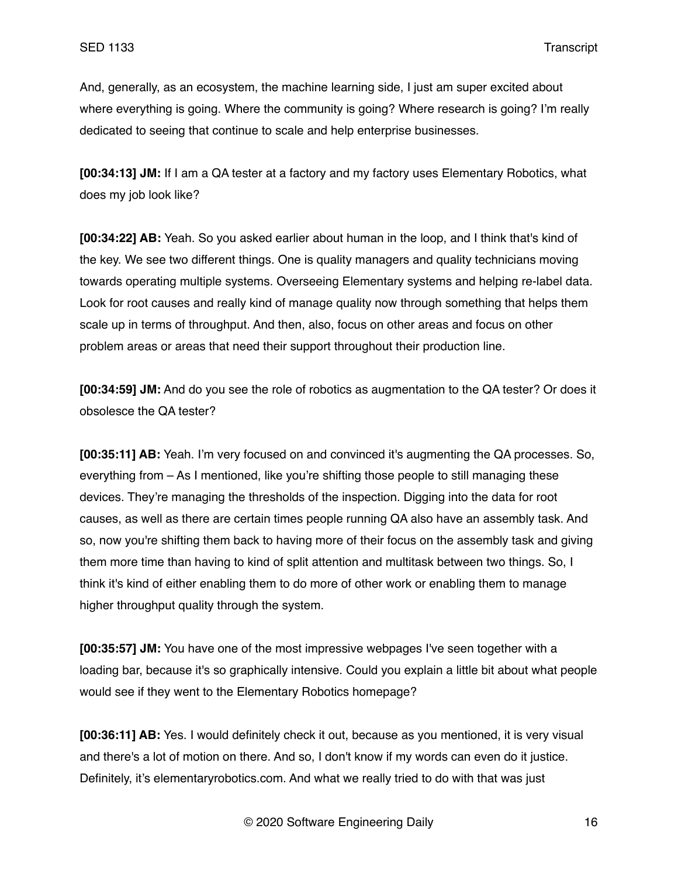And, generally, as an ecosystem, the machine learning side, I just am super excited about where everything is going. Where the community is going? Where research is going? I'm really dedicated to seeing that continue to scale and help enterprise businesses.

**[00:34:13] JM:** If I am a QA tester at a factory and my factory uses Elementary Robotics, what does my job look like?

**[00:34:22] AB:** Yeah. So you asked earlier about human in the loop, and I think that's kind of the key. We see two different things. One is quality managers and quality technicians moving towards operating multiple systems. Overseeing Elementary systems and helping re-label data. Look for root causes and really kind of manage quality now through something that helps them scale up in terms of throughput. And then, also, focus on other areas and focus on other problem areas or areas that need their support throughout their production line.

**[00:34:59] JM:** And do you see the role of robotics as augmentation to the QA tester? Or does it obsolesce the QA tester?

**[00:35:11] AB:** Yeah. I'm very focused on and convinced it's augmenting the QA processes. So, everything from – As I mentioned, like you're shifting those people to still managing these devices. They're managing the thresholds of the inspection. Digging into the data for root causes, as well as there are certain times people running QA also have an assembly task. And so, now you're shifting them back to having more of their focus on the assembly task and giving them more time than having to kind of split attention and multitask between two things. So, I think it's kind of either enabling them to do more of other work or enabling them to manage higher throughput quality through the system.

**[00:35:57] JM:** You have one of the most impressive webpages I've seen together with a loading bar, because it's so graphically intensive. Could you explain a little bit about what people would see if they went to the Elementary Robotics homepage?

**[00:36:11] AB:** Yes. I would definitely check it out, because as you mentioned, it is very visual and there's a lot of motion on there. And so, I don't know if my words can even do it justice. Definitely, it's elementaryrobotics.com. And what we really tried to do with that was just

© 2020 Software Engineering Daily 16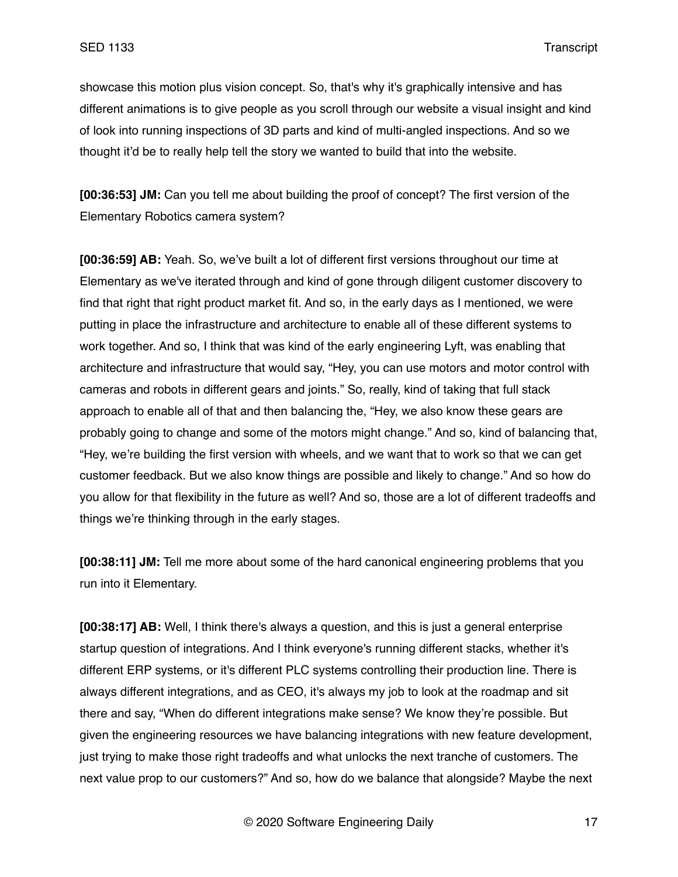showcase this motion plus vision concept. So, that's why it's graphically intensive and has different animations is to give people as you scroll through our website a visual insight and kind of look into running inspections of 3D parts and kind of multi-angled inspections. And so we thought it'd be to really help tell the story we wanted to build that into the website.

**[00:36:53] JM:** Can you tell me about building the proof of concept? The first version of the Elementary Robotics camera system?

**[00:36:59] AB:** Yeah. So, we've built a lot of different first versions throughout our time at Elementary as we've iterated through and kind of gone through diligent customer discovery to find that right that right product market fit. And so, in the early days as I mentioned, we were putting in place the infrastructure and architecture to enable all of these different systems to work together. And so, I think that was kind of the early engineering Lyft, was enabling that architecture and infrastructure that would say, "Hey, you can use motors and motor control with cameras and robots in different gears and joints." So, really, kind of taking that full stack approach to enable all of that and then balancing the, "Hey, we also know these gears are probably going to change and some of the motors might change." And so, kind of balancing that, "Hey, we're building the first version with wheels, and we want that to work so that we can get customer feedback. But we also know things are possible and likely to change." And so how do you allow for that flexibility in the future as well? And so, those are a lot of different tradeoffs and things we're thinking through in the early stages.

**[00:38:11] JM:** Tell me more about some of the hard canonical engineering problems that you run into it Elementary.

**[00:38:17] AB:** Well, I think there's always a question, and this is just a general enterprise startup question of integrations. And I think everyone's running different stacks, whether it's different ERP systems, or it's different PLC systems controlling their production line. There is always different integrations, and as CEO, it's always my job to look at the roadmap and sit there and say, "When do different integrations make sense? We know they're possible. But given the engineering resources we have balancing integrations with new feature development, just trying to make those right tradeoffs and what unlocks the next tranche of customers. The next value prop to our customers?" And so, how do we balance that alongside? Maybe the next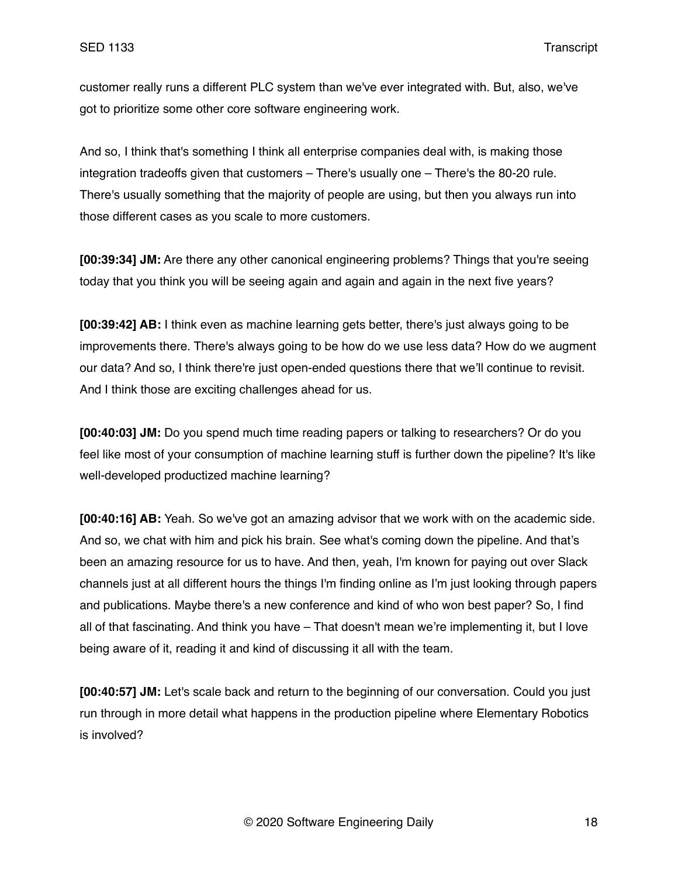customer really runs a different PLC system than we've ever integrated with. But, also, we've got to prioritize some other core software engineering work.

And so, I think that's something I think all enterprise companies deal with, is making those integration tradeoffs given that customers – There's usually one – There's the 80-20 rule. There's usually something that the majority of people are using, but then you always run into those different cases as you scale to more customers.

**[00:39:34] JM:** Are there any other canonical engineering problems? Things that you're seeing today that you think you will be seeing again and again and again in the next five years?

**[00:39:42] AB:** I think even as machine learning gets better, there's just always going to be improvements there. There's always going to be how do we use less data? How do we augment our data? And so, I think there're just open-ended questions there that we'll continue to revisit. And I think those are exciting challenges ahead for us.

**[00:40:03] JM:** Do you spend much time reading papers or talking to researchers? Or do you feel like most of your consumption of machine learning stuff is further down the pipeline? It's like well-developed productized machine learning?

**[00:40:16] AB:** Yeah. So we've got an amazing advisor that we work with on the academic side. And so, we chat with him and pick his brain. See what's coming down the pipeline. And that's been an amazing resource for us to have. And then, yeah, I'm known for paying out over Slack channels just at all different hours the things I'm finding online as I'm just looking through papers and publications. Maybe there's a new conference and kind of who won best paper? So, I find all of that fascinating. And think you have – That doesn't mean we're implementing it, but I love being aware of it, reading it and kind of discussing it all with the team.

**[00:40:57] JM:** Let's scale back and return to the beginning of our conversation. Could you just run through in more detail what happens in the production pipeline where Elementary Robotics is involved?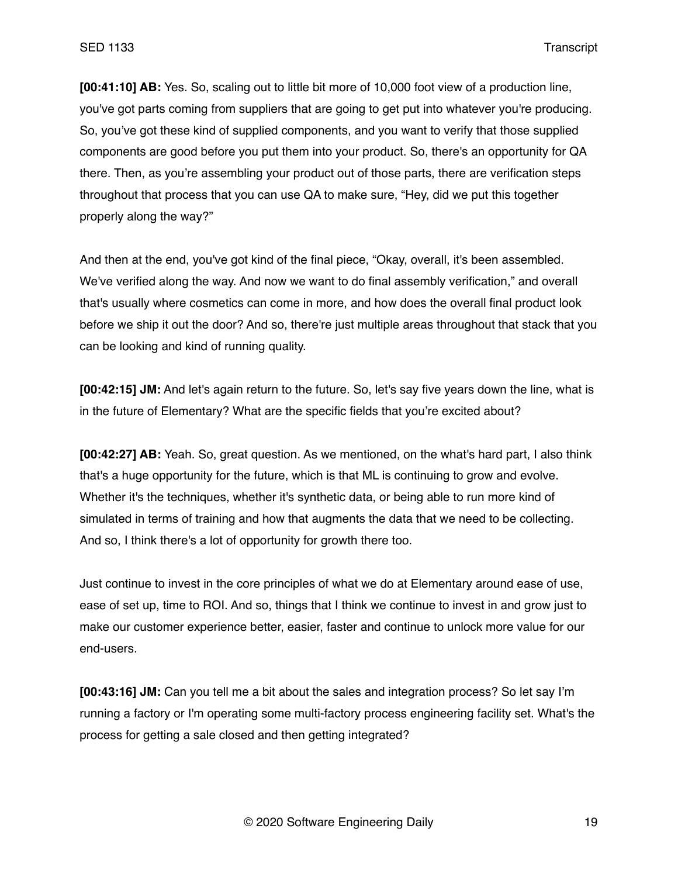**[00:41:10] AB:** Yes. So, scaling out to little bit more of 10,000 foot view of a production line, you've got parts coming from suppliers that are going to get put into whatever you're producing. So, you've got these kind of supplied components, and you want to verify that those supplied components are good before you put them into your product. So, there's an opportunity for QA there. Then, as you're assembling your product out of those parts, there are verification steps throughout that process that you can use QA to make sure, "Hey, did we put this together properly along the way?"

And then at the end, you've got kind of the final piece, "Okay, overall, it's been assembled. We've verified along the way. And now we want to do final assembly verification," and overall that's usually where cosmetics can come in more, and how does the overall final product look before we ship it out the door? And so, there're just multiple areas throughout that stack that you can be looking and kind of running quality.

**[00:42:15] JM:** And let's again return to the future. So, let's say five years down the line, what is in the future of Elementary? What are the specific fields that you're excited about?

**[00:42:27] AB:** Yeah. So, great question. As we mentioned, on the what's hard part, I also think that's a huge opportunity for the future, which is that ML is continuing to grow and evolve. Whether it's the techniques, whether it's synthetic data, or being able to run more kind of simulated in terms of training and how that augments the data that we need to be collecting. And so, I think there's a lot of opportunity for growth there too.

Just continue to invest in the core principles of what we do at Elementary around ease of use, ease of set up, time to ROI. And so, things that I think we continue to invest in and grow just to make our customer experience better, easier, faster and continue to unlock more value for our end-users.

**[00:43:16] JM:** Can you tell me a bit about the sales and integration process? So let say I'm running a factory or I'm operating some multi-factory process engineering facility set. What's the process for getting a sale closed and then getting integrated?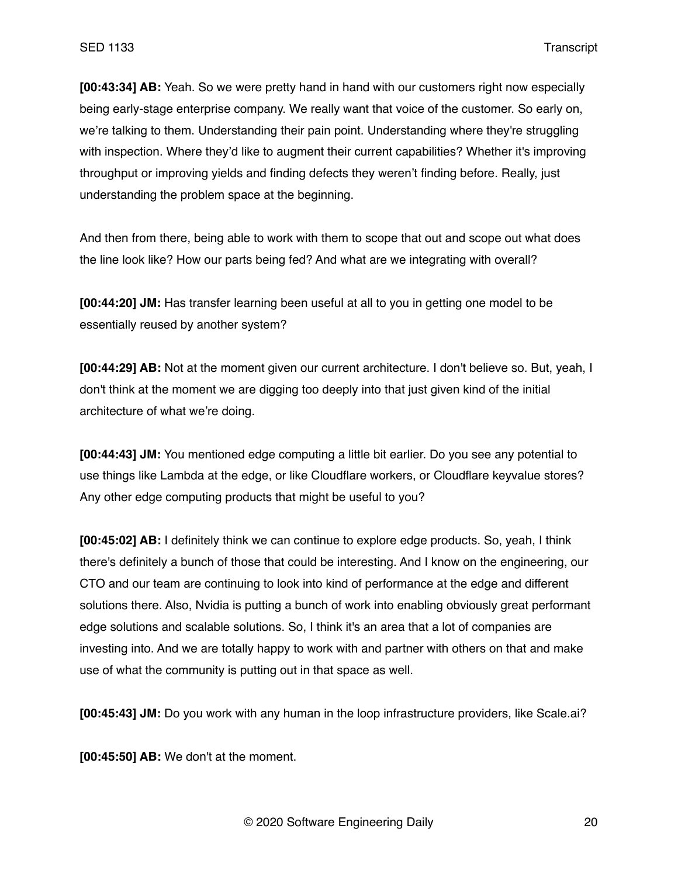**[00:43:34] AB:** Yeah. So we were pretty hand in hand with our customers right now especially being early-stage enterprise company. We really want that voice of the customer. So early on, we're talking to them. Understanding their pain point. Understanding where they're struggling with inspection. Where they'd like to augment their current capabilities? Whether it's improving throughput or improving yields and finding defects they weren't finding before. Really, just understanding the problem space at the beginning.

And then from there, being able to work with them to scope that out and scope out what does the line look like? How our parts being fed? And what are we integrating with overall?

**[00:44:20] JM:** Has transfer learning been useful at all to you in getting one model to be essentially reused by another system?

**[00:44:29] AB:** Not at the moment given our current architecture. I don't believe so. But, yeah, I don't think at the moment we are digging too deeply into that just given kind of the initial architecture of what we're doing.

**[00:44:43] JM:** You mentioned edge computing a little bit earlier. Do you see any potential to use things like Lambda at the edge, or like Cloudflare workers, or Cloudflare keyvalue stores? Any other edge computing products that might be useful to you?

**[00:45:02] AB:** I definitely think we can continue to explore edge products. So, yeah, I think there's definitely a bunch of those that could be interesting. And I know on the engineering, our CTO and our team are continuing to look into kind of performance at the edge and different solutions there. Also, Nvidia is putting a bunch of work into enabling obviously great performant edge solutions and scalable solutions. So, I think it's an area that a lot of companies are investing into. And we are totally happy to work with and partner with others on that and make use of what the community is putting out in that space as well.

**[00:45:43] JM:** Do you work with any human in the loop infrastructure providers, like Scale.ai?

**[00:45:50] AB:** We don't at the moment.